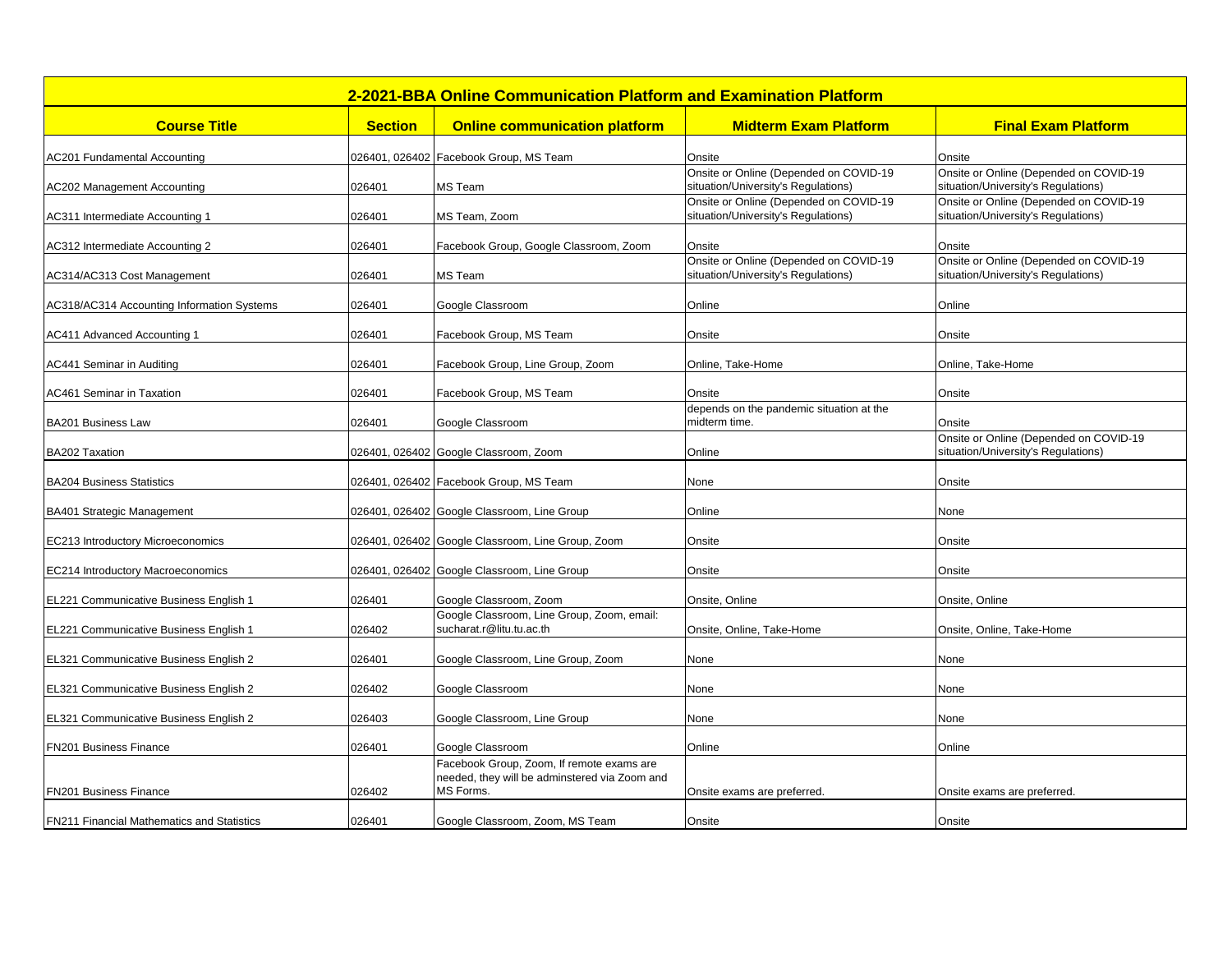| 2-2021-BBA Online Communication Platform and Examination Platform |                |                                                                                            |                                                                               |                                                                               |  |  |
|-------------------------------------------------------------------|----------------|--------------------------------------------------------------------------------------------|-------------------------------------------------------------------------------|-------------------------------------------------------------------------------|--|--|
| <b>Course Title</b>                                               | <b>Section</b> | <b>Online communication platform</b>                                                       | <b>Midterm Exam Platform</b>                                                  | <b>Final Exam Platform</b>                                                    |  |  |
| <b>AC201 Fundamental Accounting</b>                               |                | 026401, 026402 Facebook Group, MS Team                                                     | Onsite                                                                        | Onsite                                                                        |  |  |
| AC202 Management Accounting                                       | 026401         | MS Team                                                                                    | Onsite or Online (Depended on COVID-19<br>situation/University's Regulations) | Onsite or Online (Depended on COVID-19<br>situation/University's Regulations) |  |  |
| AC311 Intermediate Accounting 1                                   | 026401         | MS Team, Zoom                                                                              | Onsite or Online (Depended on COVID-19<br>situation/University's Regulations) | Onsite or Online (Depended on COVID-19<br>situation/University's Regulations) |  |  |
| AC312 Intermediate Accounting 2                                   | 026401         | Facebook Group, Google Classroom, Zoom                                                     | Onsite                                                                        | Onsite                                                                        |  |  |
| AC314/AC313 Cost Management                                       | 026401         | MS Team                                                                                    | Onsite or Online (Depended on COVID-19<br>situation/University's Regulations) | Onsite or Online (Depended on COVID-19<br>situation/University's Regulations) |  |  |
| AC318/AC314 Accounting Information Systems                        | 026401         | Google Classroom                                                                           | Online                                                                        | Online                                                                        |  |  |
| AC411 Advanced Accounting 1                                       | 026401         | Facebook Group, MS Team                                                                    | Onsite                                                                        | Onsite                                                                        |  |  |
| AC441 Seminar in Auditing                                         | 026401         | Facebook Group, Line Group, Zoom                                                           | Online, Take-Home                                                             | Online. Take-Home                                                             |  |  |
| <b>AC461 Seminar in Taxation</b>                                  | 026401         | Facebook Group, MS Team                                                                    | Onsite                                                                        | Onsite                                                                        |  |  |
| BA201 Business Law                                                | 026401         | Google Classroom                                                                           | depends on the pandemic situation at the<br>midterm time.                     | Onsite                                                                        |  |  |
| BA202 Taxation                                                    |                | 026401, 026402 Google Classroom, Zoom                                                      | Online                                                                        | Onsite or Online (Depended on COVID-19<br>situation/University's Regulations) |  |  |
| <b>BA204 Business Statistics</b>                                  |                | 026401, 026402 Facebook Group, MS Team                                                     | None                                                                          | Onsite                                                                        |  |  |
| BA401 Strategic Management                                        |                | 026401, 026402 Google Classroom, Line Group                                                | Online                                                                        | None                                                                          |  |  |
| EC213 Introductory Microeconomics                                 |                | 026401, 026402 Google Classroom, Line Group, Zoom                                          | Onsite                                                                        | Onsite                                                                        |  |  |
| EC214 Introductory Macroeconomics                                 |                | 026401, 026402 Google Classroom, Line Group                                                | Onsite                                                                        | Onsite                                                                        |  |  |
| EL221 Communicative Business English 1                            | 026401         | Google Classroom, Zoom                                                                     | Onsite, Online                                                                | Onsite, Online                                                                |  |  |
| EL221 Communicative Business English 1                            | 026402         | Google Classroom, Line Group, Zoom, email:<br>sucharat.r@litu.tu.ac.th                     | Onsite, Online, Take-Home                                                     | Onsite, Online, Take-Home                                                     |  |  |
| EL321 Communicative Business English 2                            | 026401         | Google Classroom, Line Group, Zoom                                                         | None                                                                          | None                                                                          |  |  |
| EL321 Communicative Business English 2                            | 026402         | Google Classroom                                                                           | None                                                                          | None                                                                          |  |  |
| EL321 Communicative Business English 2                            | 026403         | Google Classroom, Line Group                                                               | None                                                                          | None                                                                          |  |  |
| <b>FN201 Business Finance</b>                                     | 026401         | Google Classroom                                                                           | Online                                                                        | Online                                                                        |  |  |
|                                                                   |                | Facebook Group, Zoom, If remote exams are<br>needed, they will be adminstered via Zoom and |                                                                               |                                                                               |  |  |
| <b>FN201 Business Finance</b>                                     | 026402         | MS Forms.                                                                                  | Onsite exams are preferred.                                                   | Onsite exams are preferred.                                                   |  |  |
| <b>FN211 Financial Mathematics and Statistics</b>                 | 026401         | Google Classroom, Zoom, MS Team                                                            | Onsite                                                                        | Onsite                                                                        |  |  |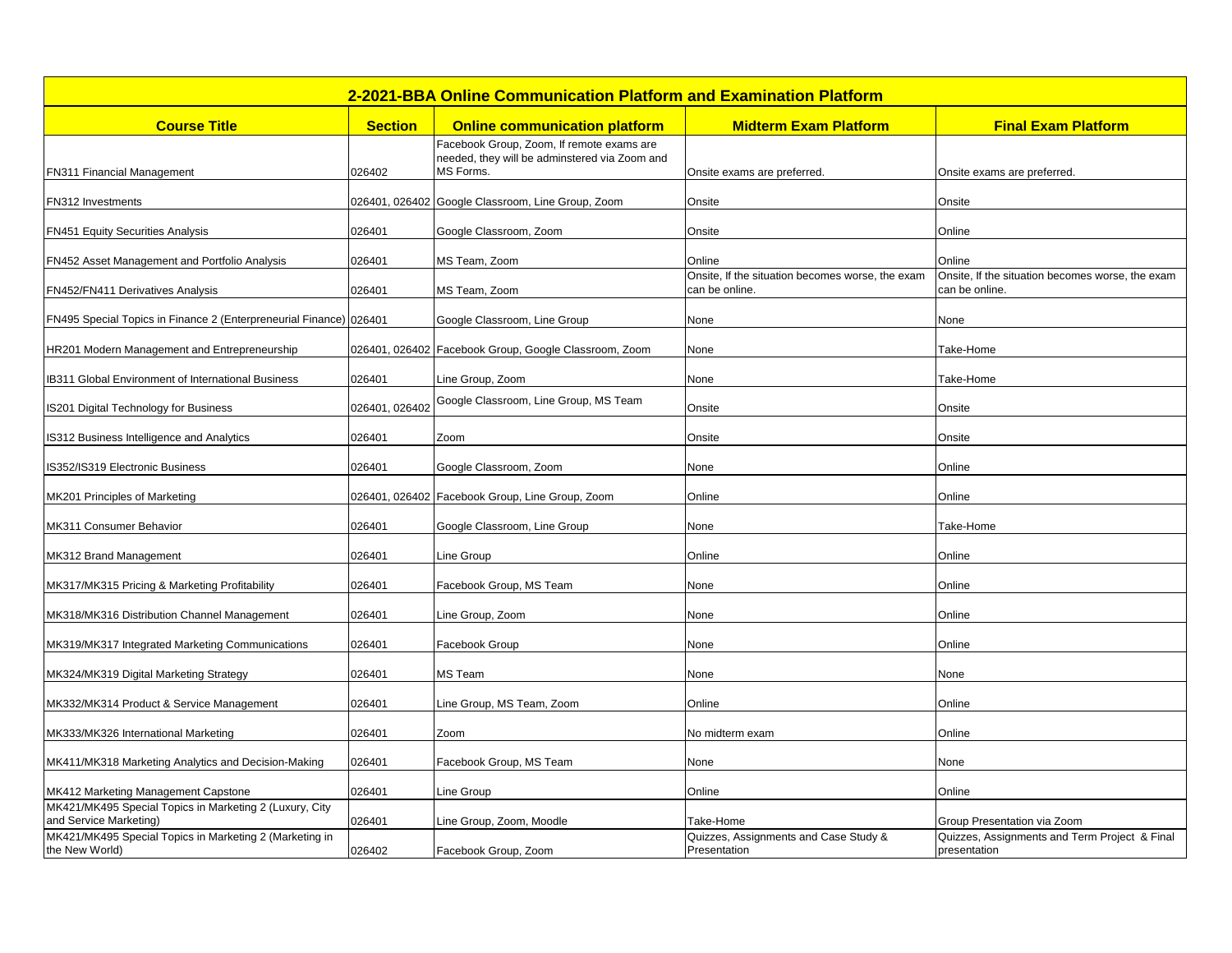| 2-2021-BBA Online Communication Platform and Examination Platform                 |                |                                                                                                         |                                                                    |                                                                    |  |  |
|-----------------------------------------------------------------------------------|----------------|---------------------------------------------------------------------------------------------------------|--------------------------------------------------------------------|--------------------------------------------------------------------|--|--|
| <b>Course Title</b>                                                               | <b>Section</b> | <b>Online communication platform</b>                                                                    | <b>Midterm Exam Platform</b>                                       | <b>Final Exam Platform</b>                                         |  |  |
| FN311 Financial Management                                                        | 026402         | Facebook Group, Zoom, If remote exams are<br>needed, they will be adminstered via Zoom and<br>MS Forms. | Onsite exams are preferred.                                        | Onsite exams are preferred.                                        |  |  |
| FN312 Investments                                                                 |                | 026401, 026402 Google Classroom, Line Group, Zoom                                                       | Onsite                                                             | Onsite                                                             |  |  |
| <b>FN451 Equity Securities Analysis</b>                                           | 026401         | Google Classroom, Zoom                                                                                  | Onsite                                                             | Online                                                             |  |  |
| FN452 Asset Management and Portfolio Analysis                                     | 026401         | MS Team, Zoom                                                                                           | Online                                                             | Online                                                             |  |  |
| FN452/FN411 Derivatives Analysis                                                  | 026401         | MS Team, Zoom                                                                                           | Onsite, If the situation becomes worse, the exam<br>can be online. | Onsite, If the situation becomes worse, the exam<br>can be online. |  |  |
| FN495 Special Topics in Finance 2 (Enterpreneurial Finance) 026401                |                | Google Classroom, Line Group                                                                            | None                                                               | None                                                               |  |  |
| HR201 Modern Management and Entrepreneurship                                      |                | 026401, 026402 Facebook Group, Google Classroom, Zoom                                                   | None                                                               | Take-Home                                                          |  |  |
| B311 Global Environment of International Business                                 | 026401         | Line Group, Zoom                                                                                        | None                                                               | Take-Home                                                          |  |  |
| S201 Digital Technology for Business                                              | 026401, 026402 | Google Classroom, Line Group, MS Team                                                                   | Onsite                                                             | Onsite                                                             |  |  |
| <b>S312 Business Intelligence and Analytics</b>                                   | 026401         | Zoom                                                                                                    | Onsite                                                             | Onsite                                                             |  |  |
| S352/IS319 Electronic Business                                                    | 026401         | Google Classroom, Zoom                                                                                  | None                                                               | Online                                                             |  |  |
| MK201 Principles of Marketing                                                     |                | 026401, 026402 Facebook Group, Line Group, Zoom                                                         | Online                                                             | Online                                                             |  |  |
| MK311 Consumer Behavior                                                           | 026401         | Google Classroom, Line Group                                                                            | None                                                               | Take-Home                                                          |  |  |
| MK312 Brand Management                                                            | 026401         | Line Group                                                                                              | Online                                                             | Online                                                             |  |  |
| MK317/MK315 Pricing & Marketing Profitability                                     | 026401         | Facebook Group, MS Team                                                                                 | None                                                               | Online                                                             |  |  |
| MK318/MK316 Distribution Channel Management                                       | 026401         | Line Group, Zoom                                                                                        | None                                                               | Online                                                             |  |  |
| MK319/MK317 Integrated Marketing Communications                                   | 026401         | Facebook Group                                                                                          | None                                                               | Online                                                             |  |  |
| MK324/MK319 Digital Marketing Strategy                                            | 026401         | <b>MS</b> Team                                                                                          | None                                                               | None                                                               |  |  |
| MK332/MK314 Product & Service Management                                          | 026401         | Line Group, MS Team, Zoom                                                                               | Online                                                             | Online                                                             |  |  |
| MK333/MK326 International Marketing                                               | 026401         | Zoom                                                                                                    | No midterm exam                                                    | Online                                                             |  |  |
| MK411/MK318 Marketing Analytics and Decision-Making                               | 026401         | Facebook Group, MS Team                                                                                 | None                                                               | None                                                               |  |  |
| MK412 Marketing Management Capstone                                               | 026401         | Line Group                                                                                              | Online                                                             | Online                                                             |  |  |
| MK421/MK495 Special Topics in Marketing 2 (Luxury, City<br>and Service Marketing) | 026401         | Line Group, Zoom, Moodle                                                                                | Take-Home                                                          | Group Presentation via Zoom                                        |  |  |
| MK421/MK495 Special Topics in Marketing 2 (Marketing in<br>the New World)         | 026402         | Facebook Group, Zoom                                                                                    | Quizzes, Assignments and Case Study &<br>Presentation              | Quizzes, Assignments and Term Project & Final<br>presentation      |  |  |